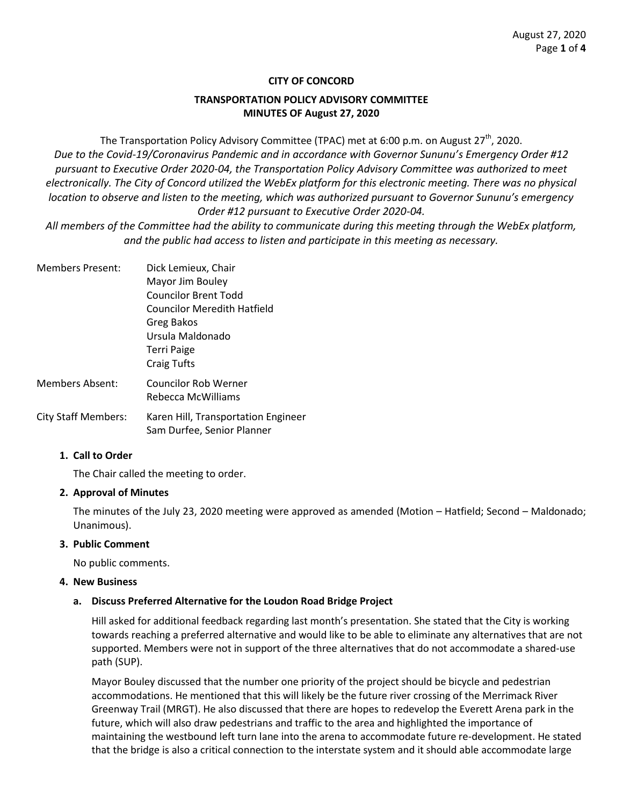## **CITY OF CONCORD**

## **TRANSPORTATION POLICY ADVISORY COMMITTEE MINUTES OF August 27, 2020**

The Transportation Policy Advisory Committee (TPAC) met at 6:00 p.m. on August  $27<sup>th</sup>$ , 2020. *Due to the Covid-19/Coronavirus Pandemic and in accordance with Governor Sununu's Emergency Order #12 pursuant to Executive Order 2020-04, the Transportation Policy Advisory Committee was authorized to meet*  electronically. The City of Concord utilized the WebEx platform for this electronic meeting. There was no physical *location to observe and listen to the meeting, which was authorized pursuant to Governor Sununu's emergency Order #12 pursuant to Executive Order 2020-04.*

*All members of the Committee had the ability to communicate during this meeting through the WebEx platform, and the public had access to listen and participate in this meeting as necessary.* 

Members Present: Dick Lemieux, Chair Mayor Jim Bouley Councilor Brent Todd Councilor Meredith Hatfield Greg Bakos Ursula Maldonado Terri Paige Craig Tufts Members Absent: Councilor Rob Werner Rebecca McWilliams City Staff Members: Karen Hill, Transportation Engineer Sam Durfee, Senior Planner

#### **1. Call to Order**

The Chair called the meeting to order.

## **2. Approval of Minutes**

The minutes of the July 23, 2020 meeting were approved as amended (Motion – Hatfield; Second – Maldonado; Unanimous).

#### **3. Public Comment**

No public comments.

#### **4. New Business**

## **a. Discuss Preferred Alternative for the Loudon Road Bridge Project**

Hill asked for additional feedback regarding last month's presentation. She stated that the City is working towards reaching a preferred alternative and would like to be able to eliminate any alternatives that are not supported. Members were not in support of the three alternatives that do not accommodate a shared-use path (SUP).

Mayor Bouley discussed that the number one priority of the project should be bicycle and pedestrian accommodations. He mentioned that this will likely be the future river crossing of the Merrimack River Greenway Trail (MRGT). He also discussed that there are hopes to redevelop the Everett Arena park in the future, which will also draw pedestrians and traffic to the area and highlighted the importance of maintaining the westbound left turn lane into the arena to accommodate future re-development. He stated that the bridge is also a critical connection to the interstate system and it should able accommodate large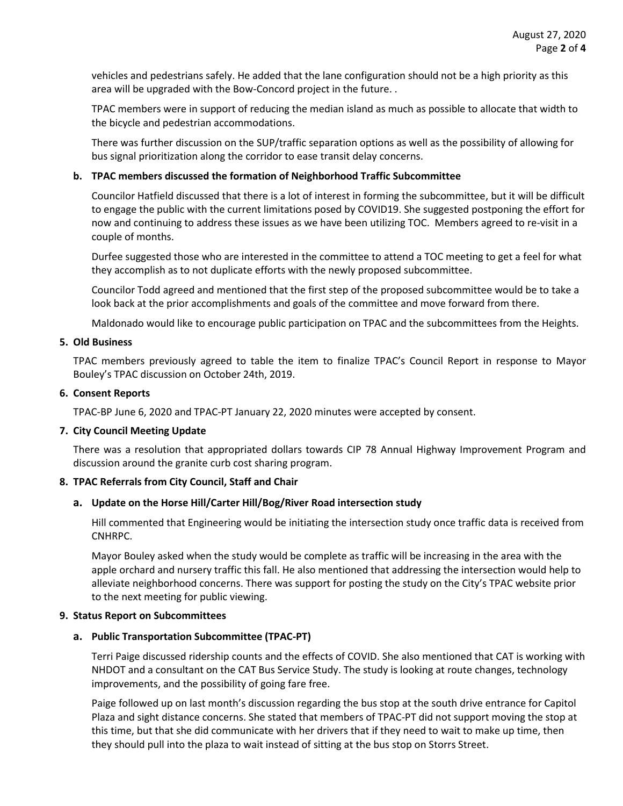vehicles and pedestrians safely. He added that the lane configuration should not be a high priority as this area will be upgraded with the Bow-Concord project in the future. .

TPAC members were in support of reducing the median island as much as possible to allocate that width to the bicycle and pedestrian accommodations.

There was further discussion on the SUP/traffic separation options as well as the possibility of allowing for bus signal prioritization along the corridor to ease transit delay concerns.

#### **b. TPAC members discussed the formation of Neighborhood Traffic Subcommittee**

Councilor Hatfield discussed that there is a lot of interest in forming the subcommittee, but it will be difficult to engage the public with the current limitations posed by COVID19. She suggested postponing the effort for now and continuing to address these issues as we have been utilizing TOC. Members agreed to re-visit in a couple of months.

Durfee suggested those who are interested in the committee to attend a TOC meeting to get a feel for what they accomplish as to not duplicate efforts with the newly proposed subcommittee.

Councilor Todd agreed and mentioned that the first step of the proposed subcommittee would be to take a look back at the prior accomplishments and goals of the committee and move forward from there.

Maldonado would like to encourage public participation on TPAC and the subcommittees from the Heights.

#### **5. Old Business**

TPAC members previously agreed to table the item to finalize TPAC's Council Report in response to Mayor Bouley's TPAC discussion on October 24th, 2019.

#### **6. Consent Reports**

TPAC-BP June 6, 2020 and TPAC-PT January 22, 2020 minutes were accepted by consent.

## **7. City Council Meeting Update**

There was a resolution that appropriated dollars towards CIP 78 Annual Highway Improvement Program and discussion around the granite curb cost sharing program.

## **8. TPAC Referrals from City Council, Staff and Chair**

#### **a. Update on the Horse Hill/Carter Hill/Bog/River Road intersection study**

Hill commented that Engineering would be initiating the intersection study once traffic data is received from CNHRPC.

Mayor Bouley asked when the study would be complete as traffic will be increasing in the area with the apple orchard and nursery traffic this fall. He also mentioned that addressing the intersection would help to alleviate neighborhood concerns. There was support for posting the study on the City's TPAC website prior to the next meeting for public viewing.

#### **9. Status Report on Subcommittees**

## **a. Public Transportation Subcommittee (TPAC-PT)**

Terri Paige discussed ridership counts and the effects of COVID. She also mentioned that CAT is working with NHDOT and a consultant on the CAT Bus Service Study. The study is looking at route changes, technology improvements, and the possibility of going fare free.

Paige followed up on last month's discussion regarding the bus stop at the south drive entrance for Capitol Plaza and sight distance concerns. She stated that members of TPAC-PT did not support moving the stop at this time, but that she did communicate with her drivers that if they need to wait to make up time, then they should pull into the plaza to wait instead of sitting at the bus stop on Storrs Street.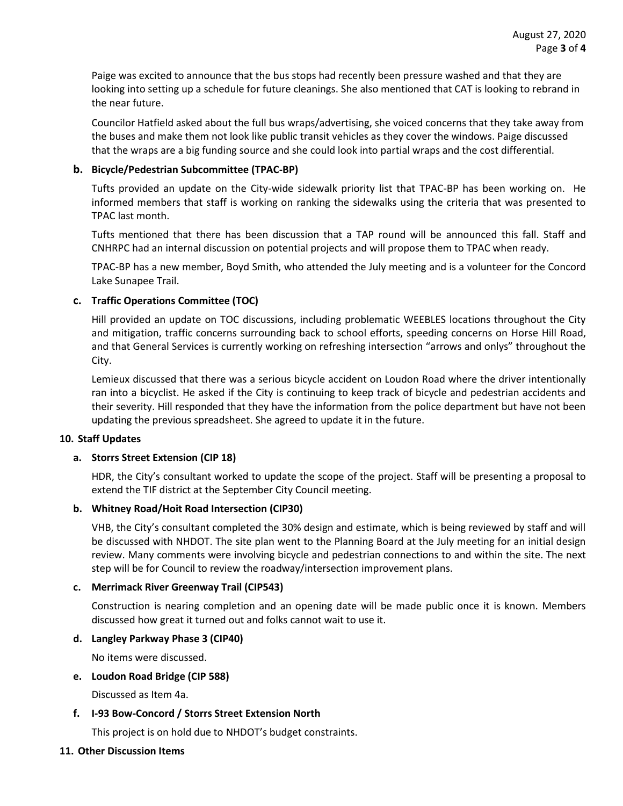Paige was excited to announce that the bus stops had recently been pressure washed and that they are looking into setting up a schedule for future cleanings. She also mentioned that CAT is looking to rebrand in the near future.

Councilor Hatfield asked about the full bus wraps/advertising, she voiced concerns that they take away from the buses and make them not look like public transit vehicles as they cover the windows. Paige discussed that the wraps are a big funding source and she could look into partial wraps and the cost differential.

## **b. Bicycle/Pedestrian Subcommittee (TPAC-BP)**

Tufts provided an update on the City-wide sidewalk priority list that TPAC-BP has been working on. He informed members that staff is working on ranking the sidewalks using the criteria that was presented to TPAC last month.

Tufts mentioned that there has been discussion that a TAP round will be announced this fall. Staff and CNHRPC had an internal discussion on potential projects and will propose them to TPAC when ready.

TPAC-BP has a new member, Boyd Smith, who attended the July meeting and is a volunteer for the Concord Lake Sunapee Trail.

## **c. Traffic Operations Committee (TOC)**

Hill provided an update on TOC discussions, including problematic WEEBLES locations throughout the City and mitigation, traffic concerns surrounding back to school efforts, speeding concerns on Horse Hill Road, and that General Services is currently working on refreshing intersection "arrows and onlys" throughout the City.

Lemieux discussed that there was a serious bicycle accident on Loudon Road where the driver intentionally ran into a bicyclist. He asked if the City is continuing to keep track of bicycle and pedestrian accidents and their severity. Hill responded that they have the information from the police department but have not been updating the previous spreadsheet. She agreed to update it in the future.

## **10. Staff Updates**

## **a. Storrs Street Extension (CIP 18)**

HDR, the City's consultant worked to update the scope of the project. Staff will be presenting a proposal to extend the TIF district at the September City Council meeting.

## **b. Whitney Road/Hoit Road Intersection (CIP30)**

VHB, the City's consultant completed the 30% design and estimate, which is being reviewed by staff and will be discussed with NHDOT. The site plan went to the Planning Board at the July meeting for an initial design review. Many comments were involving bicycle and pedestrian connections to and within the site. The next step will be for Council to review the roadway/intersection improvement plans.

## **c. Merrimack River Greenway Trail (CIP543)**

Construction is nearing completion and an opening date will be made public once it is known. Members discussed how great it turned out and folks cannot wait to use it.

## **d. Langley Parkway Phase 3 (CIP40)**

No items were discussed.

## **e. Loudon Road Bridge (CIP 588)**

Discussed as Item 4a.

# **f. I-93 Bow-Concord / Storrs Street Extension North**

This project is on hold due to NHDOT's budget constraints.

## **11. Other Discussion Items**